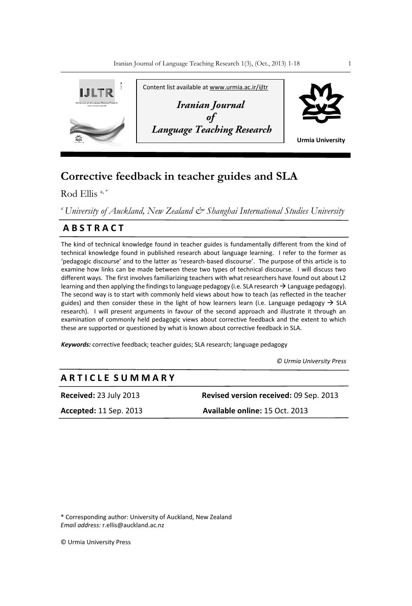

# **Corrective feedback in teacher guides and SLA**

Rod Ellis<sup>a,\*</sup>

*<sup>a</sup>University of Auckland, New Zealand & Shanghai International Studies University*

# **A B S T R A C T**

The kind of technical knowledge found in teacher guides is fundamentally different from the kind of technical knowledge found in published research about language learning. I refer to the former as 'pedagogic discourse' and to the latter as 'research-based discourse'. The purpose of this article is to examine how links can be made between these two types of technical discourse. I will discuss two different ways. The first involves familiarizing teachers with what researchers have found out about L2 learning and then applying the findings to language pedagogy (i.e. SLA research  $\rightarrow$  Language pedagogy). The second way is to start with commonly held views about how to teach (as reflected in the teacher guides) and then consider these in the light of how learners learn (i.e. Language pedagogy  $\rightarrow$  SLA research). I will present arguments in favour of the second approach and illustrate it through an examination of commonly held pedagogic views about corrective feedback and the extent to which these are supported or questioned by what is known about corrective feedback in SLA.

*Keywords:* corrective feedback; teacher guides; SLA research; language pedagogy

 *© Urmia University Press*

# **A R T I C L E S U M M A R Y**

**Received:** 23 July 2013 **Revised version received:** 09 Sep. 2013 **Accepted:** 11 Sep. 2013 **Available online:** 15 Oct. 2013

\* Corresponding author: University of Auckland, New Zealand *Email address:* r.ellis@auckland.ac.nz

© Urmia University Press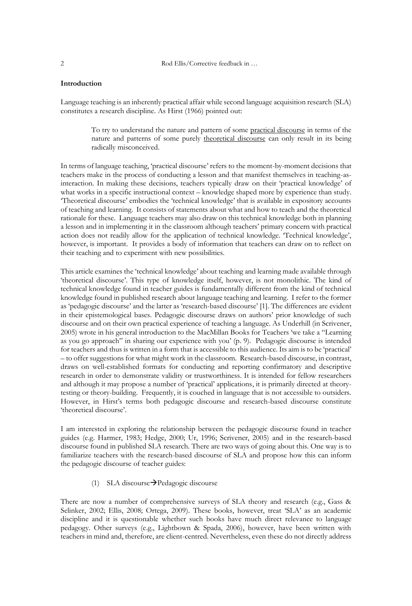2 Rod Ellis/Corrective feedback in ...

### **Introduction**

Language teaching is an inherently practical affair while second language acquisition research (SLA) constitutes a research discipline. As Hirst (1966) pointed out:

> To try to understand the nature and pattern of some practical discourse in terms of the nature and patterns of some purely theoretical discourse can only result in its being radically misconceived.

In terms of language teaching, 'practical discourse' refers to the moment-by-moment decisions that teachers make in the process of conducting a lesson and that manifest themselves in teaching-asinteraction. In making these decisions, teachers typically draw on their 'practical knowledge' of what works in a specific instructional context – knowledge shaped more by experience than study. 'Theoretical discourse' embodies the 'technical knowledge' that is available in expository accounts of teaching and learning. It consists of statements about what and how to teach and the theoretical rationale for these. Language teachers may also draw on this technical knowledge both in planning a lesson and in implementing it in the classroom although teachers' primary concern with practical action does not readily allow for the application of technical knowledge. 'Technical knowledge', however, is important. It provides a body of information that teachers can draw on to reflect on their teaching and to experiment with new possibilities.

This article examines the 'technical knowledge' about teaching and learning made available through 'theoretical discourse'. This type of knowledge itself, however, is not monolithic. The kind of technical knowledge found in teacher guides is fundamentally different from the kind of technical knowledge found in published research about language teaching and learning. I refer to the former as 'pedagogic discourse' and the latter as 'research-based discourse' [1]. The differences are evident in their epistemological bases. Pedagogic discourse draws on authors' prior knowledge of such discourse and on their own practical experience of teaching a language. As Underhill (in Scrivener, 2005) wrote in his general introduction to the MacMillan Books for Teachers 'we take a "Learning as you go approach" in sharing our experience with you' (p. 9). Pedagogic discourse is intended for teachers and thus is written in a form that is accessible to this audience. Its aim is to be 'practical' – to offer suggestions for what might work in the classroom. Research-based discourse, in contrast, draws on well-established formats for conducting and reporting confirmatory and descriptive research in order to demonstrate validity or trustworthiness. It is intended for fellow researchers and although it may propose a number of 'practical' applications, it is primarily directed at theorytesting or theory-building. Frequently, it is couched in language that is not accessible to outsiders. However, in Hirst's terms both pedagogic discourse and research-based discourse constitute 'theoretical discourse'.

I am interested in exploring the relationship between the pedagogic discourse found in teacher guides (e.g. Harmer, 1983; Hedge, 2000; Ur, 1996; Scrivener, 2005) and in the research-based discourse found in published SLA research. There are two ways of going about this. One way is to familiarize teachers with the research-based discourse of SLA and propose how this can inform the pedagogic discourse of teacher guides:

## (1) SLA discourse $\rightarrow$ Pedagogic discourse

There are now a number of comprehensive surveys of SLA theory and research (e.g., Gass & Selinker, 2002; Ellis, 2008; Ortega, 2009). These books, however, treat 'SLA' as an academic discipline and it is questionable whether such books have much direct relevance to language pedagogy. Other surveys (e.g., Lightbown & Spada, 2006), however, have been written with teachers in mind and, therefore, are client-centred. Nevertheless, even these do not directly address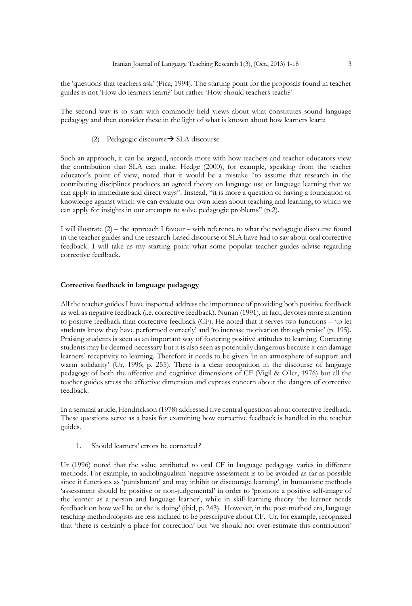the 'questions that teachers ask' (Pica, 1994). The starting point for the proposals found in teacher guides is not 'How do learners learn?' but rather 'How should teachers teach?'

The second way is to start with commonly held views about what constitutes sound language pedagogy and then consider these in the light of what is known about how learners learn:

#### (2) Pedagogic discourse  $\rightarrow$  SLA discourse

Such an approach, it can be argued, accords more with how teachers and teacher educators view the contribution that SLA can make. Hedge (2000), for example, speaking from the teacher educator's point of view, noted that it would be a mistake "to assume that research in the contributing disciplines produces an agreed theory on language use or language learning that we can apply in immediate and direct ways". Instead, "it is more a question of having a foundation of knowledge against which we can evaluate our own ideas about teaching and learning, to which we can apply for insights in our attempts to solve pedagogic problems" (p.2).

I will illustrate (2) – the approach I favour – with reference to what the pedagogic discourse found in the teacher guides and the research-based discourse of SLA have had to say about oral corrective feedback. I will take as my starting point what some popular teacher guides advise regarding corrective feedback.

# **Corrective feedback in language pedagogy**

All the teacher guides I have inspected address the importance of providing both positive feedback as well as negative feedback (i.e. corrective feedback). Nunan (1991), in fact, devotes more attention to positive feedback than corrective feedback (CF). He noted that it serves two functions – 'to let students know they have performed correctly' and 'to increase motivation through praise' (p. 195). Praising students is seen as an important way of fostering positive attitudes to learning. Correcting students may be deemed necessary but it is also seen as potentially dangerous because it can damage learners' receptivity to learning. Therefore it needs to be given 'in an atmosphere of support and warm solidarity' (Ur, 1996; p. 255). There is a clear recognition in the discourse of language pedagogy of both the affective and cognitive dimensions of CF (Vigil & Oller, 1976) but all the teacher guides stress the affective dimension and express concern about the dangers of corrective feedback.

In a seminal article, Hendrickson (1978) addressed five central questions about corrective feedback. These questions serve as a basis for examining how corrective feedback is handled in the teacher guides.

1. Should learners' errors be corrected*?*

Ur (1996) noted that the value attributed to oral CF in language pedagogy varies in different methods. For example, in audiolingualism 'negative assessment is to be avoided as far as possible since it functions as 'punishment' and may inhibit or discourage learning', in humanistic methods 'assessment should be positive or non-judgemental' in order to 'promote a positive self-image of the learner as a person and language learner', while in skill-learning theory 'the learner needs feedback on how well he or she is doing' (ibid, p. 243). However, in the post-method era, language teaching methodologists are less inclined to be prescriptive about CF. Ur, for example, recognized that 'there is certainly a place for correction' but 'we should not over-estimate this contribution'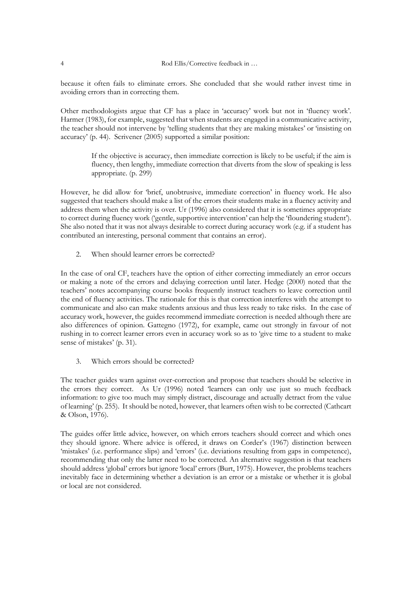because it often fails to eliminate errors. She concluded that she would rather invest time in avoiding errors than in correcting them.

Other methodologists argue that CF has a place in 'accuracy' work but not in 'fluency work'. Harmer (1983), for example, suggested that when students are engaged in a communicative activity, the teacher should not intervene by 'telling students that they are making mistakes' or 'insisting on accuracy' (p. 44). Scrivener (2005) supported a similar position:

> If the objective is accuracy, then immediate correction is likely to be useful; if the aim is fluency, then lengthy, immediate correction that diverts from the slow of speaking is less appropriate. (p. 299)

However, he did allow for 'brief, unobtrusive, immediate correction' in fluency work. He also suggested that teachers should make a list of the errors their students make in a fluency activity and address them when the activity is over. Ur (1996) also considered that it is sometimes appropriate to correct during fluency work ('gentle, supportive intervention' can help the 'floundering student'). She also noted that it was not always desirable to correct during accuracy work (e.g. if a student has contributed an interesting, personal comment that contains an error).

2. When should learner errors be corrected?

In the case of oral CF, teachers have the option of either correcting immediately an error occurs or making a note of the errors and delaying correction until later. Hedge (2000) noted that the teachers' notes accompanying course books frequently instruct teachers to leave correction until the end of fluency activities. The rationale for this is that correction interferes with the attempt to communicate and also can make students anxious and thus less ready to take risks. In the case of accuracy work, however, the guides recommend immediate correction is needed although there are also differences of opinion. Gattegno (1972), for example, came out strongly in favour of not rushing in to correct learner errors even in accuracy work so as to 'give time to a student to make sense of mistakes' (p. 31).

3. Which errors should be corrected?

The teacher guides warn against over-correction and propose that teachers should be selective in the errors they correct. As Ur (1996) noted 'learners can only use just so much feedback information: to give too much may simply distract, discourage and actually detract from the value of learning' (p. 255). It should be noted, however, that learners often wish to be corrected (Cathcart & Olson, 1976).

The guides offer little advice, however, on which errors teachers should correct and which ones they should ignore. Where advice is offered, it draws on Corder's (1967) distinction between 'mistakes' (i.e. performance slips) and 'errors' (i.e. deviations resulting from gaps in competence), recommending that only the latter need to be corrected. An alternative suggestion is that teachers should address 'global' errors but ignore 'local' errors (Burt, 1975). However, the problems teachers inevitably face in determining whether a deviation is an error or a mistake or whether it is global or local are not considered.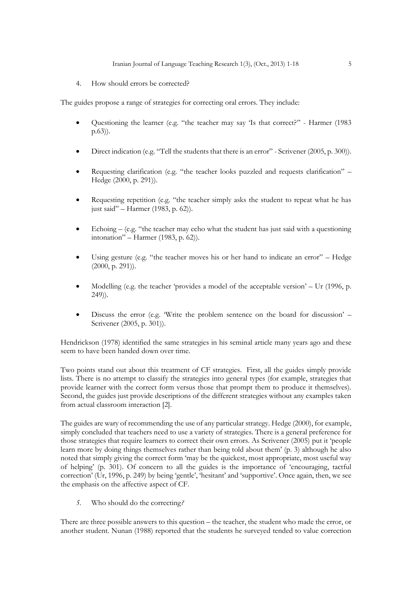4. How should errors be corrected?

The guides propose a range of strategies for correcting oral errors. They include:

- Questioning the learner (e.g. "the teacher may say 'Is that correct?" Harmer (1983 p.63)).
- Direct indication (e.g. "Tell the students that there is an error" Scrivener (2005, p. 300)).
- Requesting clarification (e.g. "the teacher looks puzzled and requests clarification" Hedge (2000, p. 291)).
- Requesting repetition (e.g. "the teacher simply asks the student to repeat what he has just said" – Harmer (1983, p. 62)).
- Echoing (e.g. "the teacher may echo what the student has just said with a questioning intonation" – Harmer (1983, p. 62)).
- Using gesture (e.g. "the teacher moves his or her hand to indicate an error" Hedge  $(2000, p. 291)$ .
- Modelling (e.g. the teacher 'provides a model of the acceptable version' Ur (1996, p. 249)).
- Discuss the error (e.g. 'Write the problem sentence on the board for discussion' Scrivener (2005, p. 301)).

Hendrickson (1978) identified the same strategies in his seminal article many years ago and these seem to have been handed down over time.

Two points stand out about this treatment of CF strategies. First, all the guides simply provide lists. There is no attempt to classify the strategies into general types (for example, strategies that provide learner with the correct form versus those that prompt them to produce it themselves). Second, the guides just provide descriptions of the different strategies without any examples taken from actual classroom interaction [2].

The guides are wary of recommending the use of any particular strategy. Hedge (2000), for example, simply concluded that teachers need to use a variety of strategies. There is a general preference for those strategies that require learners to correct their own errors. As Scrivener (2005) put it 'people learn more by doing things themselves rather than being told about them' (p. 3) although he also noted that simply giving the correct form 'may be the quickest, most appropriate, most useful way of helping' (p. 301). Of concern to all the guides is the importance of 'encouraging, tactful correction' (Ur, 1996, p. 249) by being 'gentle', 'hesitant' and 'supportive'. Once again, then, we see the emphasis on the affective aspect of CF.

*5.* Who should do the correcting*?*

There are three possible answers to this question – the teacher, the student who made the error, or another student. Nunan (1988) reported that the students he surveyed tended to value correction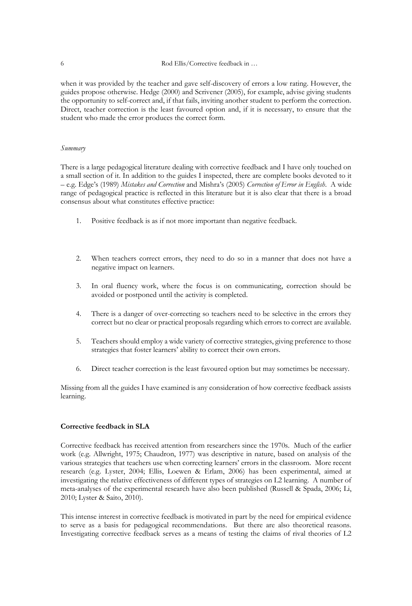when it was provided by the teacher and gave self-discovery of errors a low rating. However, the guides propose otherwise. Hedge (2000) and Scrivener (2005), for example, advise giving students the opportunity to self-correct and, if that fails, inviting another student to perform the correction. Direct, teacher correction is the least favoured option and, if it is necessary, to ensure that the student who made the error produces the correct form.

#### *Summary*

There is a large pedagogical literature dealing with corrective feedback and I have only touched on a small section of it. In addition to the guides I inspected, there are complete books devoted to it – e.g. Edge's (1989) *Mistakes and Correction* and Mishra's (2005) *Correction of Error in English*. A wide range of pedagogical practice is reflected in this literature but it is also clear that there is a broad consensus about what constitutes effective practice:

- 1. Positive feedback is as if not more important than negative feedback.
- 2. When teachers correct errors, they need to do so in a manner that does not have a negative impact on learners.
- 3. In oral fluency work, where the focus is on communicating, correction should be avoided or postponed until the activity is completed.
- 4. There is a danger of over-correcting so teachers need to be selective in the errors they correct but no clear or practical proposals regarding which errors to correct are available.
- 5. Teachers should employ a wide variety of corrective strategies, giving preference to those strategies that foster learners' ability to correct their own errors.
- 6. Direct teacher correction is the least favoured option but may sometimes be necessary.

Missing from all the guides I have examined is any consideration of how corrective feedback assists learning.

# **Corrective feedback in SLA**

Corrective feedback has received attention from researchers since the 1970s. Much of the earlier work (e.g. Allwright, 1975; Chaudron, 1977) was descriptive in nature, based on analysis of the various strategies that teachers use when correcting learners' errors in the classroom. More recent research (e.g. Lyster, 2004; Ellis, Loewen & Erlam, 2006) has been experimental, aimed at investigating the relative effectiveness of different types of strategies on L2 learning. A number of meta-analyses of the experimental research have also been published (Russell & Spada, 2006; Li, 2010; Lyster & Saito, 2010).

This intense interest in corrective feedback is motivated in part by the need for empirical evidence to serve as a basis for pedagogical recommendations. But there are also theoretical reasons. Investigating corrective feedback serves as a means of testing the claims of rival theories of L2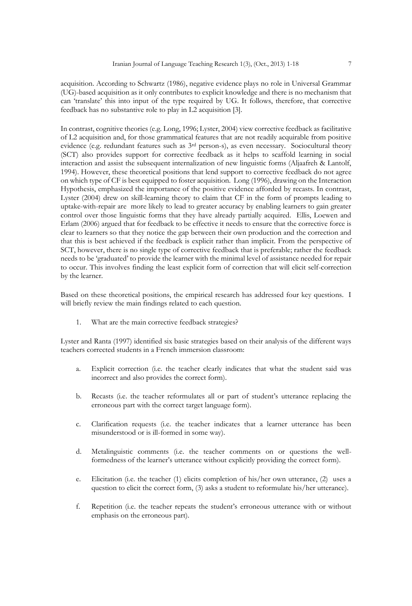acquisition. According to Schwartz (1986), negative evidence plays no role in Universal Grammar (UG)-based acquisition as it only contributes to explicit knowledge and there is no mechanism that can 'translate' this into input of the type required by UG. It follows, therefore, that corrective feedback has no substantive role to play in L2 acquisition [3].

In contrast, cognitive theories (e.g. Long, 1996; Lyster, 2004) view corrective feedback as facilitative of L2 acquisition and, for those grammatical features that are not readily acquirable from positive evidence (e.g. redundant features such as 3rd person-s), as even necessary. Sociocultural theory (SCT) also provides support for corrective feedback as it helps to scaffold learning in social interaction and assist the subsequent internalization of new linguistic forms (Aljaafreh & Lantolf, 1994). However, these theoretical positions that lend support to corrective feedback do not agree on which type of CF is best equipped to foster acquisition. Long (1996), drawing on the Interaction Hypothesis, emphasized the importance of the positive evidence afforded by recasts. In contrast, Lyster (2004) drew on skill-learning theory to claim that CF in the form of prompts leading to uptake-with-repair are more likely to lead to greater accuracy by enabling learners to gain greater control over those linguistic forms that they have already partially acquired. Ellis, Loewen and Erlam (2006) argued that for feedback to be effective it needs to ensure that the corrective force is clear to learners so that they notice the gap between their own production and the correction and that this is best achieved if the feedback is explicit rather than implicit. From the perspective of SCT, however, there is no single type of corrective feedback that is preferable; rather the feedback needs to be 'graduated' to provide the learner with the minimal level of assistance needed for repair to occur. This involves finding the least explicit form of correction that will elicit self-correction by the learner.

Based on these theoretical positions, the empirical research has addressed four key questions. I will briefly review the main findings related to each question.

1. What are the main corrective feedback strategies?

Lyster and Ranta (1997) identified six basic strategies based on their analysis of the different ways teachers corrected students in a French immersion classroom:

- a. Explicit correction (i.e. the teacher clearly indicates that what the student said was incorrect and also provides the correct form).
- b. Recasts (i.e. the teacher reformulates all or part of student's utterance replacing the erroneous part with the correct target language form).
- c. Clarification requests (i.e. the teacher indicates that a learner utterance has been misunderstood or is ill-formed in some way).
- d. Metalinguistic comments (i.e. the teacher comments on or questions the wellformedness of the learner's utterance without explicitly providing the correct form).
- e. Elicitation (i.e. the teacher (1) elicits completion of his/her own utterance, (2) uses a question to elicit the correct form, (3) asks a student to reformulate his/her utterance).
- f. Repetition (i.e. the teacher repeats the student's erroneous utterance with or without emphasis on the erroneous part).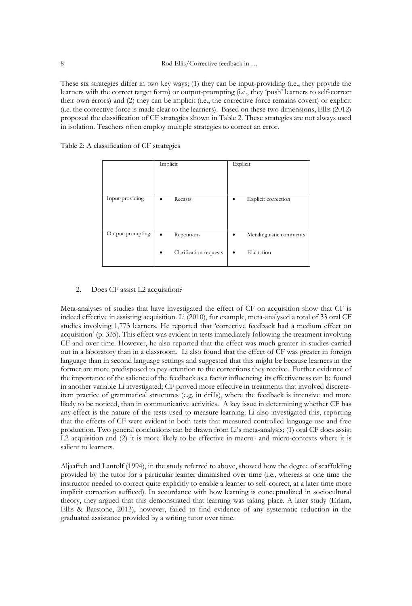These six strategies differ in two key ways; (1) they can be input-providing (i.e., they provide the learners with the correct target form) or output-prompting (i.e., they 'push' learners to self-correct their own errors) and (2) they can be implicit (i.e., the corrective force remains covert) or explicit (i.e. the corrective force is made clear to the learners). Based on these two dimensions, Ellis (2012) proposed the classification of CF strategies shown in Table 2. These strategies are not always used in isolation. Teachers often employ multiple strategies to correct an error.

| Table 2: A classification of CF strategies |  |  |  |  |
|--------------------------------------------|--|--|--|--|
|--------------------------------------------|--|--|--|--|

|                  | Implicit                                        | Explicit                                         |
|------------------|-------------------------------------------------|--------------------------------------------------|
| Input-providing  | Recasts<br>$\bullet$                            | Explicit correction<br>٠                         |
| Output-prompting | Repetitions<br>٠<br>Clarification requests<br>٠ | Metalinguistic comments<br>٠<br>Elicitation<br>٠ |

# 2. Does CF assist L2 acquisition?

Meta-analyses of studies that have investigated the effect of CF on acquisition show that CF is indeed effective in assisting acquisition. Li (2010), for example, meta-analysed a total of 33 oral CF studies involving 1,773 learners. He reported that 'corrective feedback had a medium effect on acquisition' (p. 335). This effect was evident in tests immediately following the treatment involving CF and over time. However, he also reported that the effect was much greater in studies carried out in a laboratory than in a classroom. Li also found that the effect of CF was greater in foreign language than in second language settings and suggested that this might be because learners in the former are more predisposed to pay attention to the corrections they receive. Further evidence of the importance of the salience of the feedback as a factor influencing its effectiveness can be found in another variable Li investigated; CF proved more effective in treatments that involved discreteitem practice of grammatical structures (e.g. in drills), where the feedback is intensive and more likely to be noticed, than in communicative activities. A key issue in determining whether CF has any effect is the nature of the tests used to measure learning. Li also investigated this, reporting that the effects of CF were evident in both tests that measured controlled language use and free production. Two general conclusions can be drawn from Li's meta-analysis; (1) oral CF does assist L2 acquisition and (2) it is more likely to be effective in macro- and micro-contexts where it is salient to learners.

Aljaafreh and Lantolf (1994), in the study referred to above, showed how the degree of scaffolding provided by the tutor for a particular learner diminished over time (i.e., whereas at one time the instructor needed to correct quite explicitly to enable a learner to self-correct, at a later time more implicit correction sufficed). In accordance with how learning is conceptualized in sociocultural theory, they argued that this demonstrated that learning was taking place. A later study (Erlam, Ellis & Batstone, 2013), however, failed to find evidence of any systematic reduction in the graduated assistance provided by a writing tutor over time.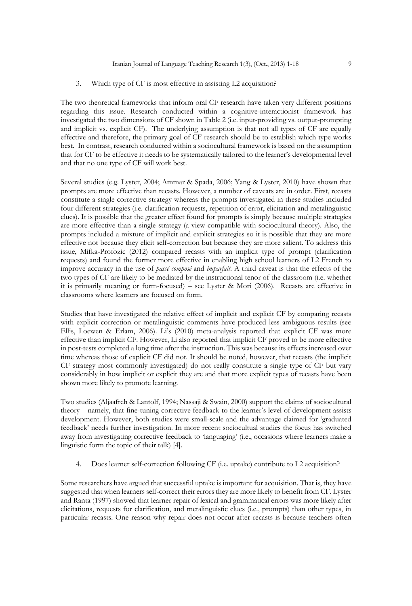#### 3. Which type of CF is most effective in assisting L2 acquisition?

The two theoretical frameworks that inform oral CF research have taken very different positions regarding this issue. Research conducted within a cognitive-interactionist framework has investigated the two dimensions of CF shown in Table 2 (i.e. input-providing vs. output-prompting and implicit vs. explicit CF). The underlying assumption is that not all types of CF are equally effective and therefore, the primary goal of CF research should be to establish which type works best. In contrast, research conducted within a sociocultural framework is based on the assumption that for CF to be effective it needs to be systematically tailored to the learner's developmental level and that no one type of CF will work best.

Several studies (e.g. Lyster, 2004; Ammar & Spada, 2006; Yang & Lyster, 2010) have shown that prompts are more effective than recasts. However, a number of caveats are in order. First, recasts constitute a single corrective strategy whereas the prompts investigated in these studies included four different strategies (i.e. clarification requests, repetition of error, elicitation and metalinguistic clues). It is possible that the greater effect found for prompts is simply because multiple strategies are more effective than a single strategy (a view compatible with sociocultural theory). Also, the prompts included a mixture of implicit and explicit strategies so it is possible that they are more effective not because they elicit self-correction but because they are more salient. To address this issue, Mifka-Profozic (2012) compared recasts with an implicit type of prompt (clarification requests) and found the former more effective in enabling high school learners of L2 French to improve accuracy in the use of *passé composé* and *imparfait*. A third caveat is that the effects of the two types of CF are likely to be mediated by the instructional tenor of the classroom (i.e. whether it is primarily meaning or form-focused) – see Lyster & Mori (2006). Recasts are effective in classrooms where learners are focused on form.

Studies that have investigated the relative effect of implicit and explicit CF by comparing recasts with explicit correction or metalinguistic comments have produced less ambiguous results (see Ellis, Loewen & Erlam, 2006). Li's (2010) meta-analysis reported that explicit CF was more effective than implicit CF. However, Li also reported that implicit CF proved to be more effective in post-tests completed a long time after the instruction. This was because its effects increased over time whereas those of explicit CF did not. It should be noted, however, that recasts (the implicit CF strategy most commonly investigated) do not really constitute a single type of CF but vary considerably in how implicit or explicit they are and that more explicit types of recasts have been shown more likely to promote learning.

Two studies (Aljaafreh & Lantolf, 1994; Nassaji & Swain, 2000) support the claims of sociocultural theory – namely, that fine-tuning corrective feedback to the learner's level of development assists development. However, both studies were small-scale and the advantage claimed for 'graduated feedback' needs further investigation. In more recent sociocultual studies the focus has switched away from investigating corrective feedback to 'languaging' (i.e., occasions where learners make a linguistic form the topic of their talk) [4].

4. Does learner self-correction following CF (i.e. uptake) contribute to L2 acquisition?

Some researchers have argued that successful uptake is important for acquisition. That is, they have suggested that when learners self-correct their errors they are more likely to benefit from CF. Lyster and Ranta (1997) showed that learner repair of lexical and grammatical errors was more likely after elicitations, requests for clarification, and metalinguistic clues (i.e., prompts) than other types, in particular recasts. One reason why repair does not occur after recasts is because teachers often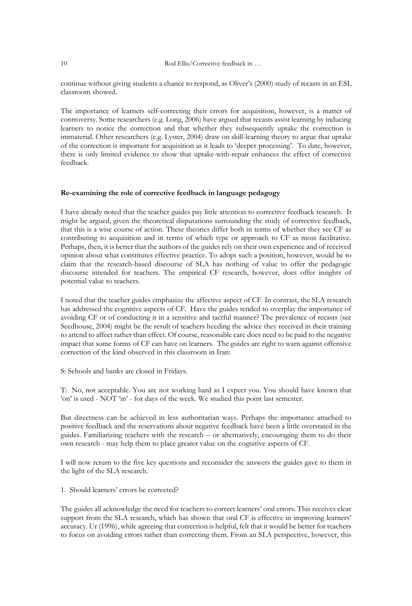continue without giving students a chance to respond, as Oliver's (2000) study of recasts in an ESL classroom showed.

The importance of learners self-correcting their errors for acquisition, however, is a matter of controversy. Some researchers (e.g. Long, 2006) have argued that recasts assist learning by inducing learners to notice the correction and that whether they subsequently uptake the correction is immaterial. Other researchers (e.g. Lyster, 2004) draw on skill-learning theory to argue that uptake of the correction is important for acquisition as it leads to 'deeper processing'. To date, however, there is only limited evidence to show that uptake-with-repair enhances the effect of corrective feedback.

### **Re-examining the role of corrective feedback in language pedagogy**

I have already noted that the teacher guides pay little attention to corrective feedback research. It might be argued, given the theoretical disputations surrounding the study of corrective feedback, that this is a wise course of action. These theories differ both in terms of whether they see CF as contributing to acquisition and in terms of which type or approach to CF as most facilitative. Perhaps, then, it is better that the authors of the guides rely on their own experience and of received opinion about what constitutes effective practice. To adopt such a position, however, would be to claim that the research-based discourse of SLA has nothing of value to offer the pedagogic discourse intended for teachers. The empirical CF research, however, does offer insights of potential value to teachers.

I noted that the teacher guides emphasize the affective aspect of CF. In contrast, the SLA research has addressed the cognitive aspects of CF. Have the guides tended to overplay the importance of avoiding CF or of conducting it in a sensitive and tactful manner? The prevalence of recasts (see Seedhouse, 2004) might be the result of teachers heeding the advice they received in their training to attend to affect rather than effect. Of course, reasonable care does need to be paid to the negative impact that some forms of CF can have on learners. The guides are right to warn against offensive correction of the kind observed in this classroom in Iran:

S: Schools and banks are closed in Fridays.

T: No, not acceptable. You are not working hard as I expect you. You should have known that 'on' is used - NOT 'in' - for days of the week. We studied this point last semester.

But directness can be achieved in less authoritarian ways. Perhaps the importance attached to positive feedback and the reservations about negative feedback have been a little overstated in the guides. Familiarizing teachers with the research – or alternatively, encouraging them to do their own research - may help them to place greater value on the cognitive aspects of CF.

I will now return to the five key questions and reconsider the answers the guides gave to them in the light of the SLA research.

1. Should learners' errors be corrected?

The guides all acknowledge the need for teachers to correct learners' oral errors. This receives clear support from the SLA research, which has shown that oral CF is effective in improving learners' accuracy. Ur (1996), while agreeing that correction is helpful, felt that it would be better for teachers to focus on avoiding errors rather than correcting them. From an SLA perspective, however, this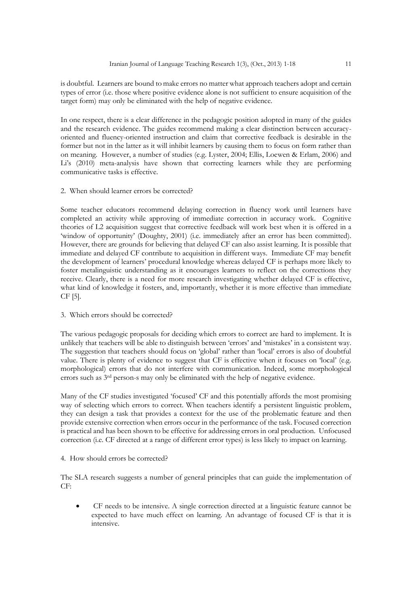is doubtful. Learners are bound to make errors no matter what approach teachers adopt and certain types of error (i.e. those where positive evidence alone is not sufficient to ensure acquisition of the target form) may only be eliminated with the help of negative evidence.

In one respect, there is a clear difference in the pedagogic position adopted in many of the guides and the research evidence. The guides recommend making a clear distinction between accuracyoriented and fluency-oriented instruction and claim that corrective feedback is desirable in the former but not in the latter as it will inhibit learners by causing them to focus on form rather than on meaning. However, a number of studies (e.g. Lyster, 2004; Ellis, Loewen & Erlam, 2006) and Li's (2010) meta-analysis have shown that correcting learners while they are performing communicative tasks is effective.

2. When should learner errors be corrected?

Some teacher educators recommend delaying correction in fluency work until learners have completed an activity while approving of immediate correction in accuracy work. Cognitive theories of L2 acquisition suggest that corrective feedback will work best when it is offered in a 'window of opportunity' (Doughty, 2001) (i.e. immediately after an error has been committed). However, there are grounds for believing that delayed CF can also assist learning. It is possible that immediate and delayed CF contribute to acquisition in different ways. Immediate CF may benefit the development of learners' procedural knowledge whereas delayed CF is perhaps more likely to foster metalinguistic understanding as it encourages learners to reflect on the corrections they receive. Clearly, there is a need for more research investigating whether delayed CF is effective, what kind of knowledge it fosters, and, importantly, whether it is more effective than immediate CF [5].

3. Which errors should be corrected?

The various pedagogic proposals for deciding which errors to correct are hard to implement. It is unlikely that teachers will be able to distinguish between 'errors' and 'mistakes' in a consistent way. The suggestion that teachers should focus on 'global' rather than 'local' errors is also of doubtful value. There is plenty of evidence to suggest that CF is effective when it focuses on 'local' (e.g. morphological) errors that do not interfere with communication. Indeed, some morphological errors such as 3rd person-s may only be eliminated with the help of negative evidence.

Many of the CF studies investigated 'focused' CF and this potentially affords the most promising way of selecting which errors to correct. When teachers identify a persistent linguistic problem, they can design a task that provides a context for the use of the problematic feature and then provide extensive correction when errors occur in the performance of the task. Focused correction is practical and has been shown to be effective for addressing errors in oral production. Unfocused correction (i.e. CF directed at a range of different error types) is less likely to impact on learning.

4*.* How should errors be corrected?

The SLA research suggests a number of general principles that can guide the implementation of CF:

 CF needs to be intensive. A single correction directed at a linguistic feature cannot be expected to have much effect on learning. An advantage of focused CF is that it is intensive.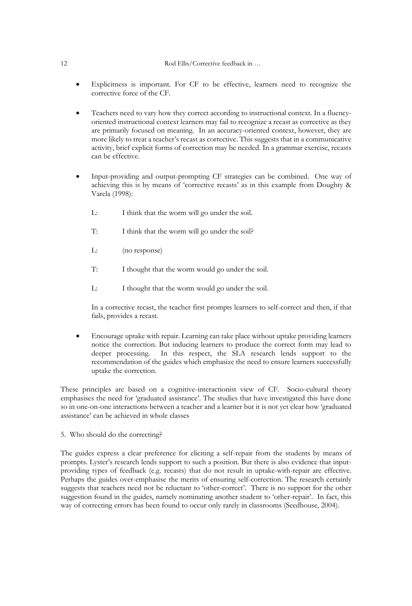## 12 Rod Ellis/Corrective feedback in ...

- Explicitness is important. For CF to be effective, learners need to recognize the corrective force of the CF.
- Teachers need to vary how they correct according to instructional context. In a fluencyoriented instructional context learners may fail to recognize a recast as corrective as they are primarily focused on meaning. In an accuracy-oriented context, however, they are more likely to treat a teacher's recast as corrective. This suggests that in a communicative activity, brief explicit forms of correction may be needed. In a grammar exercise, recasts can be effective.
- Input-providing and output-prompting CF strategies can be combined. One way of achieving this is by means of 'corrective recasts' as in this example from Doughty & Varela (1998):
	- L: I think that the worm will go under the soil.
	- T: I think that the worm will go under the soil?
	- L: (no response)
	- T: I thought that the worm would go under the soil.
	- L: I thought that the worm would go under the soil.

In a corrective recast, the teacher first prompts learners to self-correct and then, if that fails, provides a recast.

 Encourage uptake with repair. Learning can take place without uptake providing learners notice the correction. But inducing learners to produce the correct form may lead to deeper processing. In this respect, the SLA research lends support to the recommendation of the guides which emphasize the need to ensure learners successfully uptake the correction.

These principles are based on a cognitive-interactionist view of CF. Socio-cultural theory emphasises the need for 'graduated assistance'. The studies that have investigated this have done so in one-on-one interactions between a teacher and a learner but it is not yet clear how 'graduated assistance' can be achieved in whole classes

5. Who should do the correcting?

The guides express a clear preference for eliciting a self-repair from the students by means of prompts. Lyster's research lends support to such a position. But there is also evidence that inputproviding types of feedback (e.g. recasts) that do not result in uptake-with-repair are effective. Perhaps the guides over-emphasise the merits of ensuring self-correction. The research certainly suggests that teachers need not be reluctant to 'other-correct'. There is no support for the other suggestion found in the guides, namely nominating another student to 'other-repair'. In fact, this way of correcting errors has been found to occur only rarely in classrooms (Seedhouse, 2004).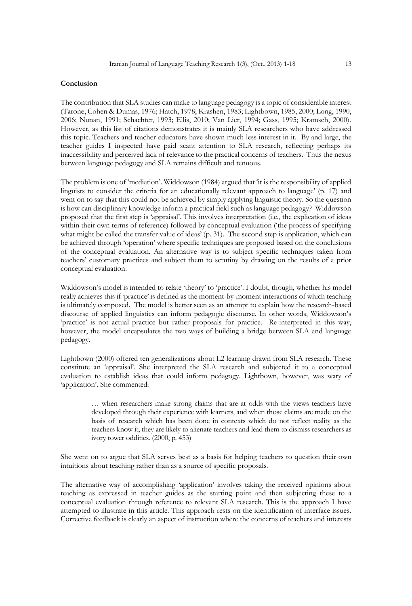#### **Conclusion**

The contribution that SLA studies can make to language pedagogy is a topic of considerable interest (Tarone, Cohen & Dumas, 1976; Hatch, 1978; Krashen, 1983; Lightbown, 1985, 2000; Long, 1990, 2006; Nunan, 1991; Schachter, 1993; Ellis, 2010; Van Lier, 1994; Gass, 1995; Kramsch, 2000). However, as this list of citations demonstrates it is mainly SLA researchers who have addressed this topic. Teachers and teacher educators have shown much less interest in it. By and large, the teacher guides I inspected have paid scant attention to SLA research, reflecting perhaps its inaccessibility and perceived lack of relevance to the practical concerns of teachers. Thus the nexus between language pedagogy and SLA remains difficult and tenuous.

The problem is one of 'mediation'. Widdowson (1984) argued that 'it is the responsibility of applied linguists to consider the criteria for an educationally relevant approach to language' (p. 17) and went on to say that this could not be achieved by simply applying linguistic theory. So the question is how can disciplinary knowledge inform a practical field such as language pedagogy? Widdowson proposed that the first step is 'appraisal'. This involves interpretation (i.e., the explication of ideas within their own terms of reference) followed by conceptual evaluation ('the process of specifying what might be called the transfer value of ideas' (p. 31). The second step is application, which can be achieved through 'operation' where specific techniques are proposed based on the conclusions of the conceptual evaluation. An alternative way is to subject specific techniques taken from teachers' customary practices and subject them to scrutiny by drawing on the results of a prior conceptual evaluation.

Widdowson's model is intended to relate 'theory' to 'practice'. I doubt, though, whether his model really achieves this if 'practice' is defined as the moment-by-moment interactions of which teaching is ultimately composed. The model is better seen as an attempt to explain how the research-based discourse of applied linguistics can inform pedagogic discourse. In other words, Widdowson's 'practice' is not actual practice but rather proposals for practice. Re-interpreted in this way, however, the model encapsulates the two ways of building a bridge between SLA and language pedagogy.

Lightbown (2000) offered ten generalizations about L2 learning drawn from SLA research. These constitute an 'appraisal'. She interpreted the SLA research and subjected it to a conceptual evaluation to establish ideas that could inform pedagogy. Lightbown, however, was wary of 'application'. She commented:

> … when researchers make strong claims that are at odds with the views teachers have developed through their experience with learners, and when those claims are made on the basis of research which has been done in contexts which do not reflect reality as the teachers know it, they are likely to alienate teachers and lead them to dismiss researchers as ivory tower oddities. (2000, p. 453)

She went on to argue that SLA serves best as a basis for helping teachers to question their own intuitions about teaching rather than as a source of specific proposals.

The alternative way of accomplishing 'application' involves taking the received opinions about teaching as expressed in teacher guides as the starting point and then subjecting these to a conceptual evaluation through reference to relevant SLA research. This is the approach I have attempted to illustrate in this article. This approach rests on the identification of interface issues. Corrective feedback is clearly an aspect of instruction where the concerns of teachers and interests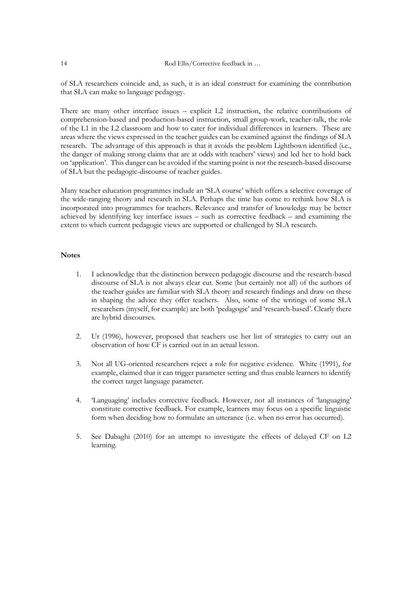of SLA researchers coincide and, as such, it is an ideal construct for examining the contribution that SLA can make to language pedagogy.

There are many other interface issues – explicit L2 instruction, the relative contributions of comprehension-based and production-based instruction, small group-work, teacher-talk, the role of the L1 in the L2 classroom and how to cater for individual differences in learners. These are areas where the views expressed in the teacher guides can be examined against the findings of SLA research. The advantage of this approach is that it avoids the problem Lightbown identified (i.e., the danger of making strong claims that are at odds with teachers' views) and led her to hold back on 'application'. This danger can be avoided if the starting point is not the research-based discourse of SLA but the pedagogic-discourse of teacher guides.

Many teacher education programmes include an 'SLA course' which offers a selective coverage of the wide-ranging theory and research in SLA. Perhaps the time has come to rethink how SLA is incorporated into programmes for teachers. Relevance and transfer of knowledge may be better achieved by identifying key interface issues – such as corrective feedback – and examining the extent to which current pedagogic views are supported or challenged by SLA research.

# **Notes**

- 1. I acknowledge that the distinction between pedagogic discourse and the research-based discourse of SLA is not always clear cut. Some (but certainly not all) of the authors of the teacher guides are familiar with SLA theory and research findings and draw on these in shaping the advice they offer teachers. Also, some of the writings of some SLA researchers (myself, for example) are both 'pedagogic' and 'research-based'. Clearly there are hybrid discourses.
- 2. Ur (1996), however, proposed that teachers use her list of strategies to carry out an observation of how CF is carried out in an actual lesson.
- 3. Not all UG-oriented researchers reject a role for negative evidence. White (1991), for example, claimed that it can trigger parameter setting and thus enable learners to identify the correct target language parameter.
- 4. 'Languaging' includes corrective feedback. However, not all instances of 'languaging' constitute corrective feedback. For example, learners may focus on a specific linguistic form when deciding how to formulate an utterance (i.e. when no error has occurred).
- 5. See Dabaghi (2010) for an attempt to investigate the effects of delayed CF on L2 learning.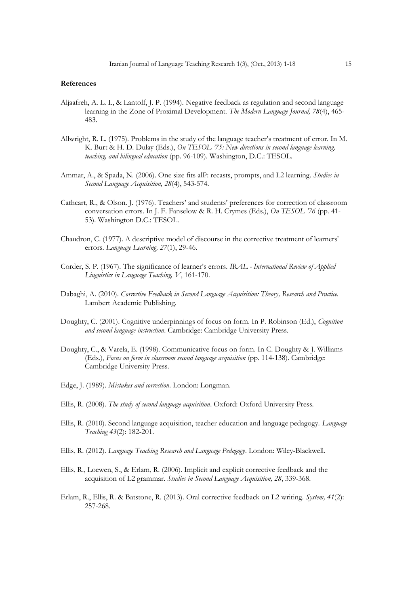#### **References**

- Aljaafreh, A. L. I., & Lantolf, J. P. (1994). Negative feedback as regulation and second language learning in the Zone of Proximal Development. *The Modern Language Journal, 78*(4), 465- 483.
- Allwright, R. L. (1975). Problems in the study of the language teacher's treatment of error. In M. K. Burt & H. D. Dulay (Eds.), *On TESOL '75: New directions in second language learning, teaching, and bilingual education* (pp. 96-109). Washington, D.C.: TESOL.
- Ammar, A., & Spada, N. (2006). One size fits all?: recasts, prompts, and L2 learning. *Studies in Second Language Acquisition, 28*(4), 543-574.
- Cathcart, R., & Olson. J. (1976). Teachers' and students' preferences for correction of classroom conversation errors. In J. F. Fanselow & R. H. Crymes (Eds.), *On TESOL '76* (pp. 41- 53). Washington D.C.: TESOL.
- Chaudron, C. (1977). A descriptive model of discourse in the corrective treatment of learners' errors. *Language Learning, 27*(1), 29-46.
- Corder, S. P. (1967). The significance of learner's errors. *IRAL - International Review of Applied Linguistics in Language Teaching, V*, 161-170.
- Dabaghi, A. (2010). *Corrective Feedback in Second Language Acquisition: Theory, Research and Practice.* Lambert Academic Publishing.
- Doughty, C. (2001). Cognitive underpinnings of focus on form. In P. Robinson (Ed.), *Cognition and second language instruction*. Cambridge: Cambridge University Press.
- Doughty, C., & Varela, E. (1998). Communicative focus on form. In C. Doughty & J. Williams (Eds.), *Focus on form in classroom second language acquisition* (pp. 114-138). Cambridge: Cambridge University Press.
- Edge, J. (1989). *Mistakes and correction*. London: Longman.
- Ellis, R. (2008). *The study of second language acquisition*. Oxford: Oxford University Press.
- Ellis, R. (2010). Second language acquisition, teacher education and language pedagogy. *Language Teaching 43*(2): 182-201.
- Ellis, R. (2012). *Language Teaching Research and Language Pedagogy*. London: Wiley-Blackwell.
- Ellis, R., Loewen, S., & Erlam, R. (2006). Implicit and explicit corrective feedback and the acquisition of L2 grammar. *Studies in Second Language Acquisition, 28*, 339-368.
- Erlam, R., Ellis, R. & Batstone, R. (2013). Oral corrective feedback on L2 writing. *System, 41*(2): 257-268.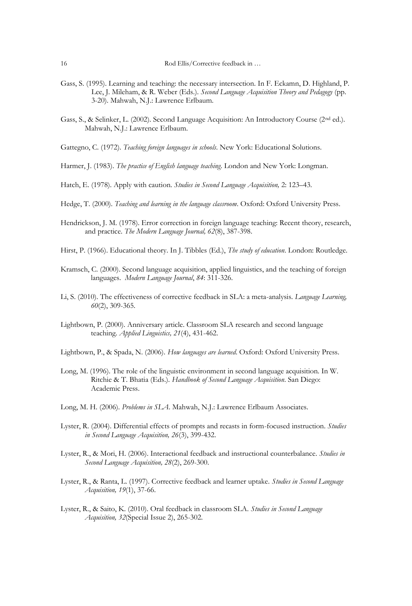- Gass, S. (1995). Learning and teaching: the necessary intersection. In F. Eckamn, D. Highland, P. Lee, J. Mileham, & R. Weber (Eds.). *Second Language Acquisition Theory and Pedagogy* (pp. 3-20). Mahwah, N.J.: Lawrence Erlbaum.
- Gass, S., & Selinker, L. (2002). Second Language Acquisition: An Introductory Course (2nd ed.). Mahwah, N.J.: Lawrence Erlbaum.
- Gattegno, C. (1972). *Teaching foreign languages in schools*. New York: Educational Solutions.
- Harmer, J. (1983). *The practice of English language teaching*. London and New York: Longman.
- Hatch, E. (1978). Apply with caution. *Studies in Second Language Acquisition,* 2: 123–43.
- Hedge, T. (2000). *Teaching and learning in the language classroom*. Oxford: Oxford University Press.
- Hendrickson, J. M. (1978). Error correction in foreign language teaching: Recent theory, research, and practice. *The Modern Language Journal, 62*(8), 387-398.
- Hirst, P. (1966). Educational theory. In J. Tibbles (Ed.), *The study of education*. London: Routledge.
- Kramsch, C. (2000). Second language acquisition, applied linguistics, and the teaching of foreign languages. *Modern Language Journal*, *84*: 311-326.
- Li, S. (2010). The effectiveness of corrective feedback in SLA: a meta-analysis. *Language Learning, 60*(2), 309-365.
- Lightbown, P. (2000). Anniversary article. Classroom SLA research and second language teaching. *Applied Linguistics, 21*(4), 431-462.
- Lightbown, P., & Spada, N. (2006). *How languages are learned*. Oxford: Oxford University Press.
- Long, M. (1996). The role of the linguistic environment in second language acquisition. In W. Ritchie & T. Bhatia (Eds.). *Handbook of Second Language Acquisition*. San Diego: Academic Press.
- Long, M. H. (2006). *Problems in SLA*. Mahwah, N.J.: Lawrence Erlbaum Associates.
- Lyster, R. (2004). Differential effects of prompts and recasts in form-focused instruction. *Studies in Second Language Acquisition, 26*(3), 399-432.
- Lyster, R., & Mori, H. (2006). Interactional feedback and instructional counterbalance. *Studies in Second Language Acquisition, 28*(2), 269-300.
- Lyster, R., & Ranta, L. (1997). Corrective feedback and learner uptake. *Studies in Second Language Acquisition, 19*(1), 37-66.
- Lyster, R., & Saito, K. (2010). Oral feedback in classroom SLA. *Studies in Second Language Acquisition, 32*(Special Issue 2), 265-302.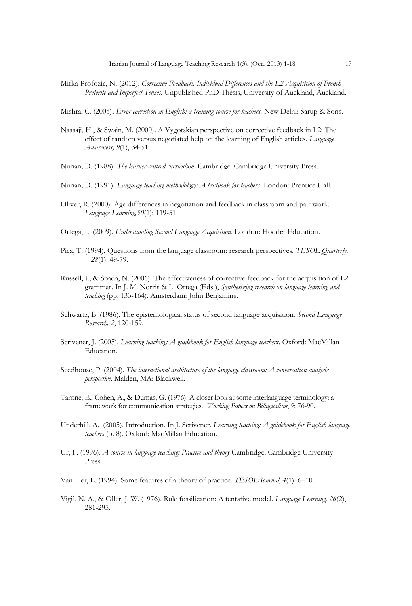- Mifka-Profozic, N. (2012). *Corrective Feedback, Individual Differences and the L2 Acquisition of French Preterite and Imperfect Tenses.* Unpublished PhD Thesis, University of Auckland, Auckland.
- Mishra, C. (2005). *Error correction in English: a training course for teachers.* New Delhi: Sarup & Sons.
- Nassaji, H., & Swain, M. (2000). A Vygotskian perspective on corrective feedback in L2: The effect of random versus negotiated help on the learning of English articles. *Language Awareness, 9*(1), 34-51.
- Nunan, D. (1988). *The learner-centred curriculum*. Cambridge: Cambridge University Press.
- Nunan, D. (1991). *Language teaching methodology: A textbook for teachers*. London: Prentice Hall.
- Oliver, R. (2000). Age differences in negotiation and feedback in classroom and pair work. *Language Learning,50*(1): 119-51.
- Ortega, L. (2009). *Understanding Second Language Acquisition*. London: Hodder Education.
- Pica, T. (1994). Questions from the language classroom: research perspectives. *TESOL Quarterly, 28*(1): 49-79.
- Russell, J., & Spada, N. (2006). The effectiveness of corrective feedback for the acquisition of L2 grammar. In J. M. Norris & L. Ortega (Eds.), *Synthesizing research on language learning and teaching* (pp. 133-164). Amsterdam: John Benjamins.
- Schwartz, B. (1986). The epistemological status of second language acquisition. *Second Language Research, 2*, 120-159.
- Scrivener, J. (2005). *Learning teaching: A guidebook for English language teachers*. Oxford: MacMillan Education.
- Seedhouse, P. (2004). *The interactional architecture of the language classroom: A conversation analysis perspective*. Malden, MA: Blackwell.
- Tarone, E., Cohen, A., & Dumas, G. (1976). A closer look at some interlanguage terminology: a framework for communication strategies. *Working Papers on Bilingualism*, *9*: 76-90.
- Underhill, A. (2005). Introduction. In J. Scrivener. *Learning teaching: A guidebook for English language teachers* (p. 8). Oxford: MacMillan Education.
- Ur, P. (1996). *A course in language teaching: Practice and theory* Cambridge: Cambridge University Press.
- Van Lier, L. (1994). Some features of a theory of practice. *TESOL Journal, 4*(1): 6–10.
- Vigil, N. A., & Oller, J. W. (1976). Rule fossilization: A tentative model. *Language Learning, 26*(2), 281-295.